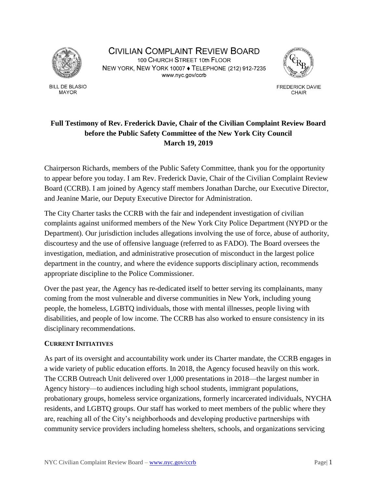

**BILL DE BLASIO MAYOR** 

CIVILIAN COMPLAINT REVIEW BOARD 100 CHURCH STREET 10th FLOOR NEW YORK, NEW YORK 10007 . TELEPHONE (212) 912-7235 www.nyc.gov/ccrb



**FREDERICK DAVIE** CHAIR

# **Full Testimony of Rev. Frederick Davie, Chair of the Civilian Complaint Review Board before the Public Safety Committee of the New York City Council March 19, 2019**

Chairperson Richards, members of the Public Safety Committee, thank you for the opportunity to appear before you today. I am Rev. Frederick Davie, Chair of the Civilian Complaint Review Board (CCRB). I am joined by Agency staff members Jonathan Darche, our Executive Director, and Jeanine Marie, our Deputy Executive Director for Administration.

The City Charter tasks the CCRB with the fair and independent investigation of civilian complaints against uniformed members of the New York City Police Department (NYPD or the Department). Our jurisdiction includes allegations involving the use of force, abuse of authority, discourtesy and the use of offensive language (referred to as FADO). The Board oversees the investigation, mediation, and administrative prosecution of misconduct in the largest police department in the country, and where the evidence supports disciplinary action, recommends appropriate discipline to the Police Commissioner.

Over the past year, the Agency has re-dedicated itself to better serving its complainants, many coming from the most vulnerable and diverse communities in New York, including young people, the homeless, LGBTQ individuals, those with mental illnesses, people living with disabilities, and people of low income. The CCRB has also worked to ensure consistency in its disciplinary recommendations.

# **CURRENT INITIATIVES**

As part of its oversight and accountability work under its Charter mandate, the CCRB engages in a wide variety of public education efforts. In 2018, the Agency focused heavily on this work. The CCRB Outreach Unit delivered over 1,000 presentations in 2018—the largest number in Agency history—to audiences including high school students, immigrant populations, probationary groups, homeless service organizations, formerly incarcerated individuals, NYCHA residents, and LGBTQ groups. Our staff has worked to meet members of the public where they are, reaching all of the City's neighborhoods and developing productive partnerships with community service providers including homeless shelters, schools, and organizations servicing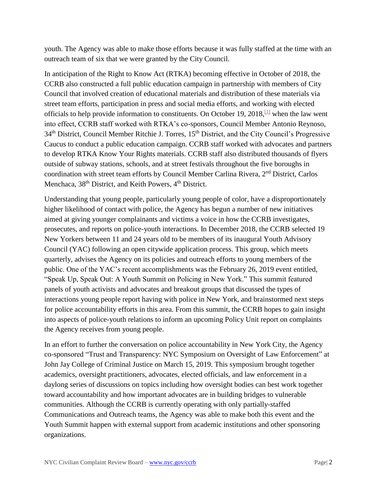youth. The Agency was able to make those efforts because it was fully staffed at the time with an outreach team of six that we were granted by the City Council.

In anticipation of the Right to Know Act (RTKA) becoming effective in October of 2018, the CCRB also constructed a full public education campaign in partnership with members of City Council that involved creation of educational materials and distribution of these materials via street team efforts, participation in press and social media efforts, and working with elected officials to help provide information to constituents. On October 19, 2018,  $\left[1\right]$  when the law went into effect, CCRB staff worked with RTKA's co-sponsors, Council Member Antonio Reynoso, 34<sup>th</sup> District, Council Member Ritchie J. Torres, 15<sup>th</sup> District, and the City Council's Progressive Caucus to conduct a public education campaign. CCRB staff worked with advocates and partners to develop RTKA Know Your Rights materials. CCRB staff also distributed thousands of flyers outside of subway stations, schools, and at street festivals throughout the five boroughs in coordination with street team efforts by Council Member Carlina Rivera, 2nd District, Carlos Menchaca, 38<sup>th</sup> District, and Keith Powers, 4<sup>th</sup> District.

Understanding that young people, particularly young people of color, have a disproportionately higher likelihood of contact with police, the Agency has begun a number of new initiatives aimed at giving younger complainants and victims a voice in how the CCRB investigates, prosecutes, and reports on police-youth interactions. In December 2018, the CCRB selected 19 New Yorkers between 11 and 24 years old to be members of its inaugural Youth Advisory Council (YAC) following an open citywide application process. This group, which meets quarterly, advises the Agency on its policies and outreach efforts to young members of the public. One of the YAC's recent accomplishments was the February 26, 2019 event entitled, "Speak Up, Speak Out: A Youth Summit on Policing in New York." This summit featured panels of youth activists and advocates and breakout groups that discussed the types of interactions young people report having with police in New York, and brainstormed next steps for police accountability efforts in this area. From this summit, the CCRB hopes to gain insight into aspects of police-youth relations to inform an upcoming Policy Unit report on complaints the Agency receives from young people.

In an effort to further the conversation on police accountability in New York City, the Agency co-sponsored "Trust and Transparency: NYC Symposium on Oversight of Law Enforcement" at John Jay College of Criminal Justice on March 15, 2019. This symposium brought together academics, oversight practitioners, advocates, elected officials, and law enforcement in a daylong series of discussions on topics including how oversight bodies can best work together toward accountability and how important advocates are in building bridges to vulnerable communities. Although the CCRB is currently operating with only partially-staffed Communications and Outreach teams, the Agency was able to make both this event and the Youth Summit happen with external support from academic institutions and other sponsoring organizations.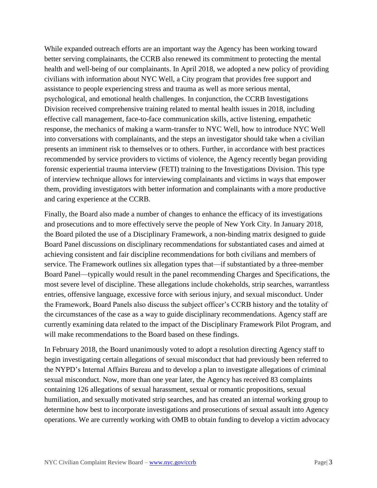While expanded outreach efforts are an important way the Agency has been working toward better serving complainants, the CCRB also renewed its commitment to protecting the mental health and well-being of our complainants. In April 2018, we adopted a new policy of providing civilians with information about NYC Well, a City program that provides free support and assistance to people experiencing stress and trauma as well as more serious mental, psychological, and emotional health challenges. In conjunction, the CCRB Investigations Division received comprehensive training related to mental health issues in 2018, including effective call management, face-to-face communication skills, active listening, empathetic response, the mechanics of making a warm-transfer to NYC Well, how to introduce NYC Well into conversations with complainants, and the steps an investigator should take when a civilian presents an imminent risk to themselves or to others. Further, in accordance with best practices recommended by service providers to victims of violence, the Agency recently began providing forensic experiential trauma interview (FETI) training to the Investigations Division. This type of interview technique allows for interviewing complainants and victims in ways that empower them, providing investigators with better information and complainants with a more productive and caring experience at the CCRB.

Finally, the Board also made a number of changes to enhance the efficacy of its investigations and prosecutions and to more effectively serve the people of New York City. In January 2018, the Board piloted the use of a Disciplinary Framework, a non-binding matrix designed to guide Board Panel discussions on disciplinary recommendations for substantiated cases and aimed at achieving consistent and fair discipline recommendations for both civilians and members of service. The Framework outlines six allegation types that—if substantiated by a three-member Board Panel—typically would result in the panel recommending Charges and Specifications, the most severe level of discipline. These allegations include chokeholds, strip searches, warrantless entries, offensive language, excessive force with serious injury, and sexual misconduct. Under the Framework, Board Panels also discuss the subject officer's CCRB history and the totality of the circumstances of the case as a way to guide disciplinary recommendations. Agency staff are currently examining data related to the impact of the Disciplinary Framework Pilot Program, and will make recommendations to the Board based on these findings.

In February 2018, the Board unanimously voted to adopt a resolution directing Agency staff to begin investigating certain allegations of sexual misconduct that had previously been referred to the NYPD's Internal Affairs Bureau and to develop a plan to investigate allegations of criminal sexual misconduct. Now, more than one year later, the Agency has received 83 complaints containing 126 allegations of sexual harassment, sexual or romantic propositions, sexual humiliation, and sexually motivated strip searches, and has created an internal working group to determine how best to incorporate investigations and prosecutions of sexual assault into Agency operations. We are currently working with OMB to obtain funding to develop a victim advocacy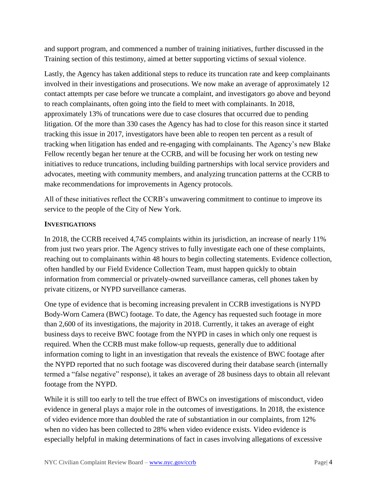and support program, and commenced a number of training initiatives, further discussed in the Training section of this testimony, aimed at better supporting victims of sexual violence.

Lastly, the Agency has taken additional steps to reduce its truncation rate and keep complainants involved in their investigations and prosecutions. We now make an average of approximately 12 contact attempts per case before we truncate a complaint, and investigators go above and beyond to reach complainants, often going into the field to meet with complainants. In 2018, approximately 13% of truncations were due to case closures that occurred due to pending litigation. Of the more than 330 cases the Agency has had to close for this reason since it started tracking this issue in 2017, investigators have been able to reopen ten percent as a result of tracking when litigation has ended and re-engaging with complainants. The Agency's new Blake Fellow recently began her tenure at the CCRB, and will be focusing her work on testing new initiatives to reduce truncations, including building partnerships with local service providers and advocates, meeting with community members, and analyzing truncation patterns at the CCRB to make recommendations for improvements in Agency protocols.

All of these initiatives reflect the CCRB's unwavering commitment to continue to improve its service to the people of the City of New York.

# **INVESTIGATIONS**

In 2018, the CCRB received 4,745 complaints within its jurisdiction, an increase of nearly 11% from just two years prior. The Agency strives to fully investigate each one of these complaints, reaching out to complainants within 48 hours to begin collecting statements. Evidence collection, often handled by our Field Evidence Collection Team, must happen quickly to obtain information from commercial or privately-owned surveillance cameras, cell phones taken by private citizens, or NYPD surveillance cameras.

One type of evidence that is becoming increasing prevalent in CCRB investigations is NYPD Body-Worn Camera (BWC) footage. To date, the Agency has requested such footage in more than 2,600 of its investigations, the majority in 2018. Currently, it takes an average of eight business days to receive BWC footage from the NYPD in cases in which only one request is required. When the CCRB must make follow-up requests, generally due to additional information coming to light in an investigation that reveals the existence of BWC footage after the NYPD reported that no such footage was discovered during their database search (internally termed a "false negative" response), it takes an average of 28 business days to obtain all relevant footage from the NYPD.

While it is still too early to tell the true effect of BWCs on investigations of misconduct, video evidence in general plays a major role in the outcomes of investigations. In 2018, the existence of video evidence more than doubled the rate of substantiation in our complaints, from 12% when no video has been collected to 28% when video evidence exists. Video evidence is especially helpful in making determinations of fact in cases involving allegations of excessive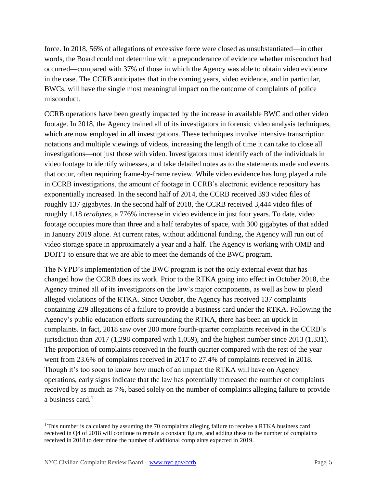force. In 2018, 56% of allegations of excessive force were closed as unsubstantiated—in other words, the Board could not determine with a preponderance of evidence whether misconduct had occurred—compared with 37% of those in which the Agency was able to obtain video evidence in the case. The CCRB anticipates that in the coming years, video evidence, and in particular, BWCs, will have the single most meaningful impact on the outcome of complaints of police misconduct.

CCRB operations have been greatly impacted by the increase in available BWC and other video footage. In 2018, the Agency trained all of its investigators in forensic video analysis techniques, which are now employed in all investigations. These techniques involve intensive transcription notations and multiple viewings of videos, increasing the length of time it can take to close all investigations—not just those with video. Investigators must identify each of the individuals in video footage to identify witnesses, and take detailed notes as to the statements made and events that occur, often requiring frame-by-frame review. While video evidence has long played a role in CCRB investigations, the amount of footage in CCRB's electronic evidence repository has exponentially increased. In the second half of 2014, the CCRB received 393 video files of roughly 137 gigabytes. In the second half of 2018, the CCRB received 3,444 video files of roughly 1.18 *terabytes*, a 776% increase in video evidence in just four years. To date, video footage occupies more than three and a half terabytes of space, with 300 gigabytes of that added in January 2019 alone. At current rates, without additional funding, the Agency will run out of video storage space in approximately a year and a half. The Agency is working with OMB and DOITT to ensure that we are able to meet the demands of the BWC program.

The NYPD's implementation of the BWC program is not the only external event that has changed how the CCRB does its work. Prior to the RTKA going into effect in October 2018, the Agency trained all of its investigators on the law's major components, as well as how to plead alleged violations of the RTKA. Since October, the Agency has received 137 complaints containing 229 allegations of a failure to provide a business card under the RTKA. Following the Agency's public education efforts surrounding the RTKA, there has been an uptick in complaints. In fact, 2018 saw over 200 more fourth-quarter complaints received in the CCRB's jurisdiction than 2017 (1,298 compared with 1,059), and the highest number since 2013 (1,331). The proportion of complaints received in the fourth quarter compared with the rest of the year went from 23.6% of complaints received in 2017 to 27.4% of complaints received in 2018. Though it's too soon to know how much of an impact the RTKA will have on Agency operations, early signs indicate that the law has potentially increased the number of complaints received by as much as 7%, based solely on the number of complaints alleging failure to provide a business card.<sup>1</sup>

 $\overline{\phantom{a}}$ 

<sup>&</sup>lt;sup>1</sup>This number is calculated by assuming the 70 complaints alleging failure to receive a RTKA business card received in Q4 of 2018 will continue to remain a constant figure, and adding these to the number of complaints received in 2018 to determine the number of additional complaints expected in 2019.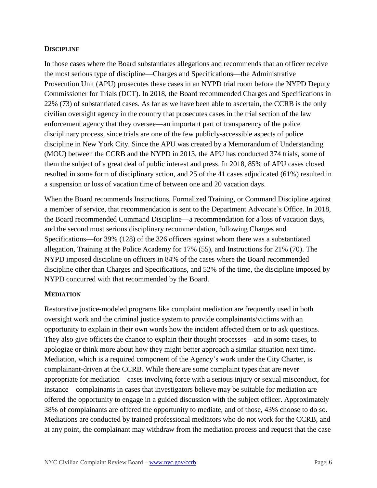## **DISCIPLINE**

In those cases where the Board substantiates allegations and recommends that an officer receive the most serious type of discipline—Charges and Specifications—the Administrative Prosecution Unit (APU) prosecutes these cases in an NYPD trial room before the NYPD Deputy Commissioner for Trials (DCT). In 2018, the Board recommended Charges and Specifications in 22% (73) of substantiated cases. As far as we have been able to ascertain, the CCRB is the only civilian oversight agency in the country that prosecutes cases in the trial section of the law enforcement agency that they oversee—an important part of transparency of the police disciplinary process, since trials are one of the few publicly-accessible aspects of police discipline in New York City. Since the APU was created by a Memorandum of Understanding (MOU) between the CCRB and the NYPD in 2013, the APU has conducted 374 trials, some of them the subject of a great deal of public interest and press. In 2018, 85% of APU cases closed resulted in some form of disciplinary action, and 25 of the 41 cases adjudicated (61%) resulted in a suspension or loss of vacation time of between one and 20 vacation days.

When the Board recommends Instructions, Formalized Training, or Command Discipline against a member of service, that recommendation is sent to the Department Advocate's Office. In 2018, the Board recommended Command Discipline—a recommendation for a loss of vacation days, and the second most serious disciplinary recommendation, following Charges and Specifications—for 39% (128) of the 326 officers against whom there was a substantiated allegation, Training at the Police Academy for 17% (55), and Instructions for 21% (70). The NYPD imposed discipline on officers in 84% of the cases where the Board recommended discipline other than Charges and Specifications, and 52% of the time, the discipline imposed by NYPD concurred with that recommended by the Board.

#### **MEDIATION**

Restorative justice-modeled programs like complaint mediation are frequently used in both oversight work and the criminal justice system to provide complainants/victims with an opportunity to explain in their own words how the incident affected them or to ask questions. They also give officers the chance to explain their thought processes—and in some cases, to apologize or think more about how they might better approach a similar situation next time. Mediation, which is a required component of the Agency's work under the City Charter, is complainant-driven at the CCRB. While there are some complaint types that are never appropriate for mediation—cases involving force with a serious injury or sexual misconduct, for instance—complainants in cases that investigators believe may be suitable for mediation are offered the opportunity to engage in a guided discussion with the subject officer. Approximately 38% of complainants are offered the opportunity to mediate, and of those, 43% choose to do so. Mediations are conducted by trained professional mediators who do not work for the CCRB, and at any point, the complainant may withdraw from the mediation process and request that the case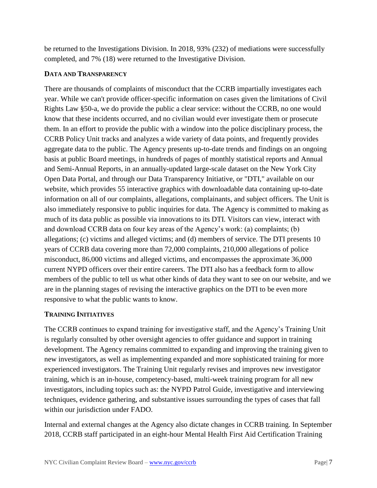be returned to the Investigations Division. In 2018, 93% (232) of mediations were successfully completed, and 7% (18) were returned to the Investigative Division.

## **DATA AND TRANSPARENCY**

There are thousands of complaints of misconduct that the CCRB impartially investigates each year. While we can't provide officer-specific information on cases given the limitations of Civil Rights Law §50-a, we do provide the public a clear service: without the CCRB, no one would know that these incidents occurred, and no civilian would ever investigate them or prosecute them. In an effort to provide the public with a window into the police disciplinary process, the CCRB Policy Unit tracks and analyzes a wide variety of data points, and frequently provides aggregate data to the public. The Agency presents up-to-date trends and findings on an ongoing basis at public Board meetings, in hundreds of pages of monthly statistical reports and Annual and Semi-Annual Reports, in an annually-updated large-scale dataset on the New York City Open Data Portal, and through our Data Transparency Initiative, or "DTI," available on our website, which provides 55 interactive graphics with downloadable data containing up-to-date information on all of our complaints, allegations, complainants, and subject officers. The Unit is also immediately responsive to public inquiries for data. The Agency is committed to making as much of its data public as possible via innovations to its DTI. Visitors can view, interact with and download CCRB data on four key areas of the Agency's work: (a) complaints; (b) allegations; (c) victims and alleged victims; and (d) members of service. The DTI presents 10 years of CCRB data covering more than 72,000 complaints, 210,000 allegations of police misconduct, 86,000 victims and alleged victims, and encompasses the approximate 36,000 current NYPD officers over their entire careers. The DTI also has a feedback form to allow members of the public to tell us what other kinds of data they want to see on our website, and we are in the planning stages of revising the interactive graphics on the DTI to be even more responsive to what the public wants to know.

# **TRAINING INITIATIVES**

The CCRB continues to expand training for investigative staff, and the Agency's Training Unit is regularly consulted by other oversight agencies to offer guidance and support in training development. The Agency remains committed to expanding and improving the training given to new investigators, as well as implementing expanded and more sophisticated training for more experienced investigators. The Training Unit regularly revises and improves new investigator training, which is an in-house, competency-based, multi-week training program for all new investigators, including topics such as: the NYPD Patrol Guide, investigative and interviewing techniques, evidence gathering, and substantive issues surrounding the types of cases that fall within our jurisdiction under FADO.

Internal and external changes at the Agency also dictate changes in CCRB training. In September 2018, CCRB staff participated in an eight-hour Mental Health First Aid Certification Training